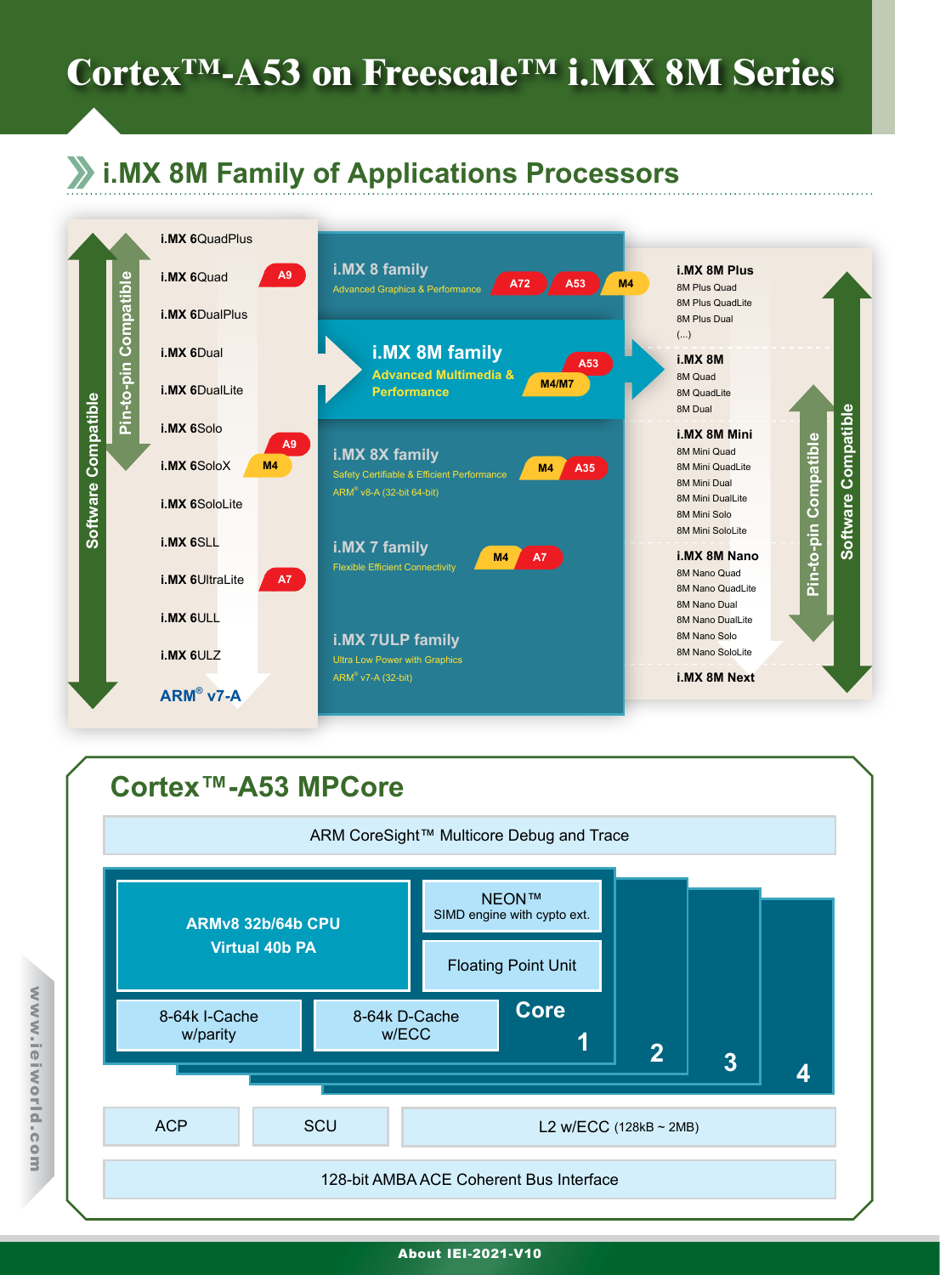# **Cortex™-A53 on Freescale™ i.MX 8M Series**

# **i.MX 8M Family of Applications Processors**



## **Cortex™-A53 MPCore**



#### About IEI-2021-V10